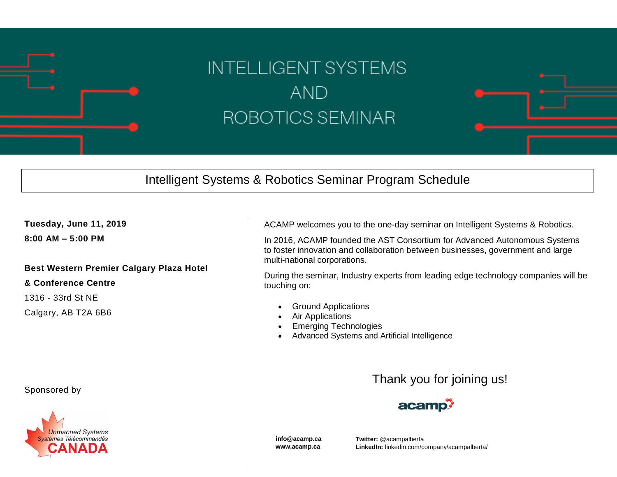

## **INTELLIGENT SYSTEMS AND** ROBOTICS SEMINAR

## Intelligent Systems & Robotics Seminar Program Schedule

**Tuesday, June 11, 2019**

**8:00 AM – 5:00 PM** 

## **Best Western Premier Calgary Plaza Hotel**

**& Conference Centre**

1316 - 33rd St NE

Calgary, AB T2A 6B6

Sponsored by



ACAMP welcomes you to the one-day seminar on Intelligent Systems & Robotics.

In 2016, ACAMP founded the AST Consortium for Advanced Autonomous Systems to foster innovation and collaboration between businesses, government and large multi-national corporations.

During the seminar, Industry experts from leading edge technology companies will be touching on:

- Ground Applications
- Air Applications
- Emerging Technologies
- Advanced Systems and Artificial Intelligence

## Thank you for joining us!



**info@acamp.ca www.acamp.ca**

**Twitter:** @acampalberta **LinkedIn:** linkedin.com/company/acampalberta/